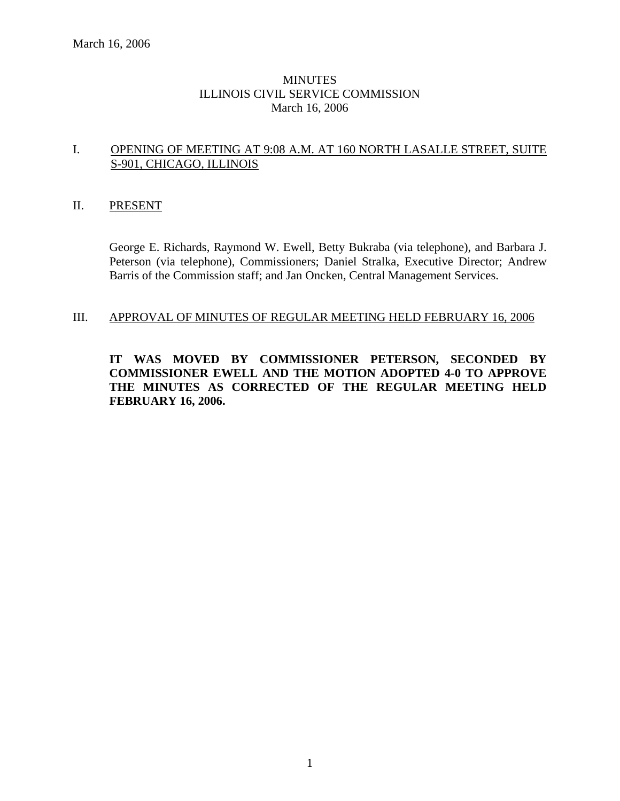## **MINUTES** ILLINOIS CIVIL SERVICE COMMISSION March 16, 2006

### I. OPENING OF MEETING AT 9:08 A.M. AT 160 NORTH LASALLE STREET, SUITE S-901, CHICAGO, ILLINOIS

### II. PRESENT

George E. Richards, Raymond W. Ewell, Betty Bukraba (via telephone), and Barbara J. Peterson (via telephone), Commissioners; Daniel Stralka, Executive Director; Andrew Barris of the Commission staff; and Jan Oncken, Central Management Services.

### III. APPROVAL OF MINUTES OF REGULAR MEETING HELD FEBRUARY 16, 2006

**IT WAS MOVED BY COMMISSIONER PETERSON, SECONDED BY COMMISSIONER EWELL AND THE MOTION ADOPTED 4-0 TO APPROVE THE MINUTES AS CORRECTED OF THE REGULAR MEETING HELD FEBRUARY 16, 2006.**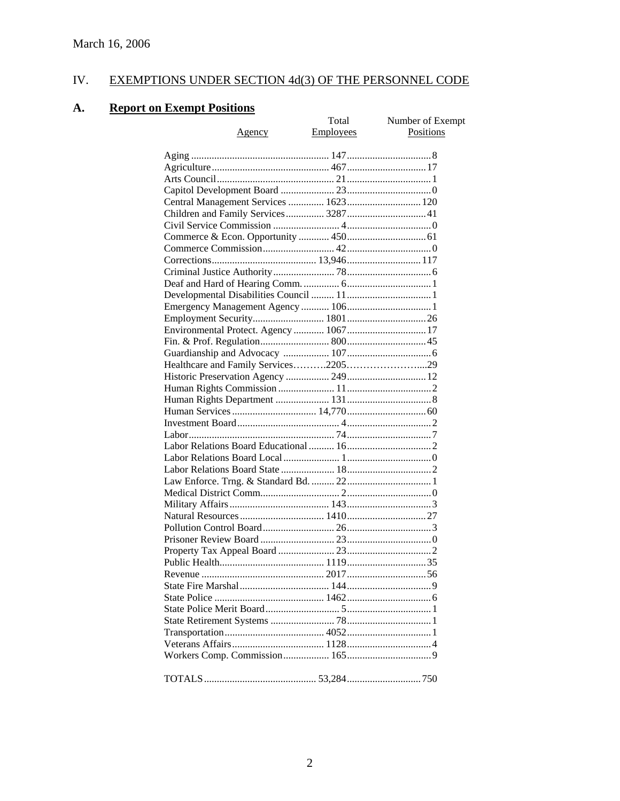# IV. EXEMPTIONS UNDER SECTION 4d(3) OF THE PERSONNEL CODE

# **A. Report on Exempt Positions**

| еженірі і означня                       | Total            | Number of Exempt |
|-----------------------------------------|------------------|------------------|
| <u>Agency</u>                           | <b>Employees</b> | Positions        |
|                                         |                  |                  |
|                                         |                  |                  |
|                                         |                  |                  |
|                                         |                  |                  |
|                                         |                  |                  |
| Central Management Services  1623 120   |                  |                  |
| Children and Family Services 3287 41    |                  |                  |
|                                         |                  |                  |
|                                         |                  |                  |
|                                         |                  |                  |
|                                         |                  |                  |
|                                         |                  |                  |
|                                         |                  |                  |
|                                         |                  |                  |
|                                         |                  |                  |
|                                         |                  |                  |
| Environmental Protect. Agency  1067  17 |                  |                  |
|                                         |                  |                  |
|                                         |                  |                  |
|                                         |                  |                  |
|                                         |                  |                  |
|                                         |                  |                  |
|                                         |                  |                  |
|                                         |                  |                  |
|                                         |                  |                  |
|                                         |                  |                  |
|                                         |                  |                  |
|                                         |                  |                  |
|                                         |                  |                  |
|                                         |                  |                  |
|                                         |                  |                  |
|                                         |                  |                  |
|                                         |                  |                  |
|                                         |                  |                  |
|                                         |                  |                  |
|                                         |                  |                  |
|                                         |                  |                  |
|                                         |                  |                  |
|                                         |                  |                  |
|                                         |                  |                  |
|                                         |                  |                  |
|                                         |                  |                  |
|                                         |                  |                  |
|                                         |                  |                  |
|                                         |                  |                  |
|                                         |                  |                  |
|                                         |                  |                  |
|                                         |                  |                  |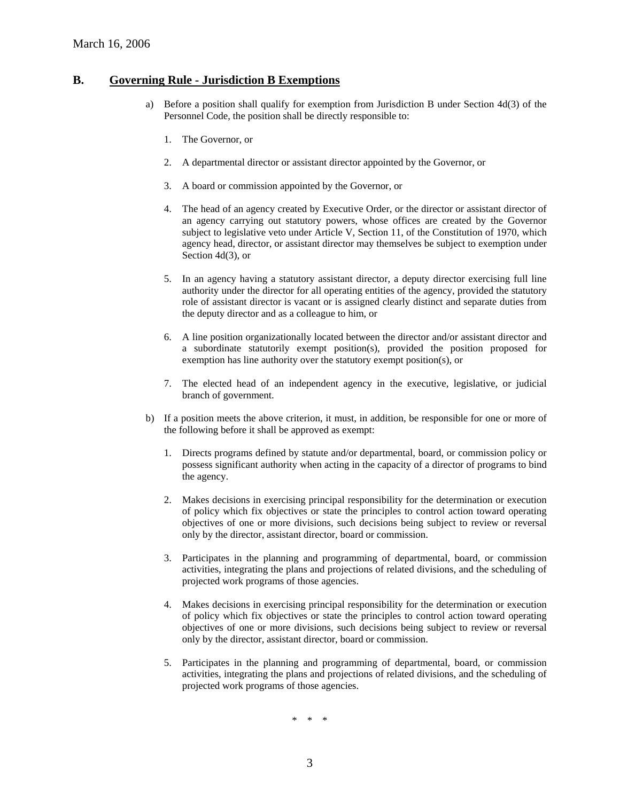#### **B. Governing Rule - Jurisdiction B Exemptions**

- a) Before a position shall qualify for exemption from Jurisdiction B under Section 4d(3) of the Personnel Code, the position shall be directly responsible to:
	- 1. The Governor, or
	- 2. A departmental director or assistant director appointed by the Governor, or
	- 3. A board or commission appointed by the Governor, or
	- 4. The head of an agency created by Executive Order, or the director or assistant director of an agency carrying out statutory powers, whose offices are created by the Governor subject to legislative veto under Article V, Section 11, of the Constitution of 1970, which agency head, director, or assistant director may themselves be subject to exemption under Section 4d(3), or
	- 5. In an agency having a statutory assistant director, a deputy director exercising full line authority under the director for all operating entities of the agency, provided the statutory role of assistant director is vacant or is assigned clearly distinct and separate duties from the deputy director and as a colleague to him, or
	- 6. A line position organizationally located between the director and/or assistant director and a subordinate statutorily exempt position(s), provided the position proposed for exemption has line authority over the statutory exempt position(s), or
	- 7. The elected head of an independent agency in the executive, legislative, or judicial branch of government.
- b) If a position meets the above criterion, it must, in addition, be responsible for one or more of the following before it shall be approved as exempt:
	- 1. Directs programs defined by statute and/or departmental, board, or commission policy or possess significant authority when acting in the capacity of a director of programs to bind the agency.
	- 2. Makes decisions in exercising principal responsibility for the determination or execution of policy which fix objectives or state the principles to control action toward operating objectives of one or more divisions, such decisions being subject to review or reversal only by the director, assistant director, board or commission.
	- 3. Participates in the planning and programming of departmental, board, or commission activities, integrating the plans and projections of related divisions, and the scheduling of projected work programs of those agencies.
	- 4. Makes decisions in exercising principal responsibility for the determination or execution of policy which fix objectives or state the principles to control action toward operating objectives of one or more divisions, such decisions being subject to review or reversal only by the director, assistant director, board or commission.
	- 5. Participates in the planning and programming of departmental, board, or commission activities, integrating the plans and projections of related divisions, and the scheduling of projected work programs of those agencies.

\* \* \*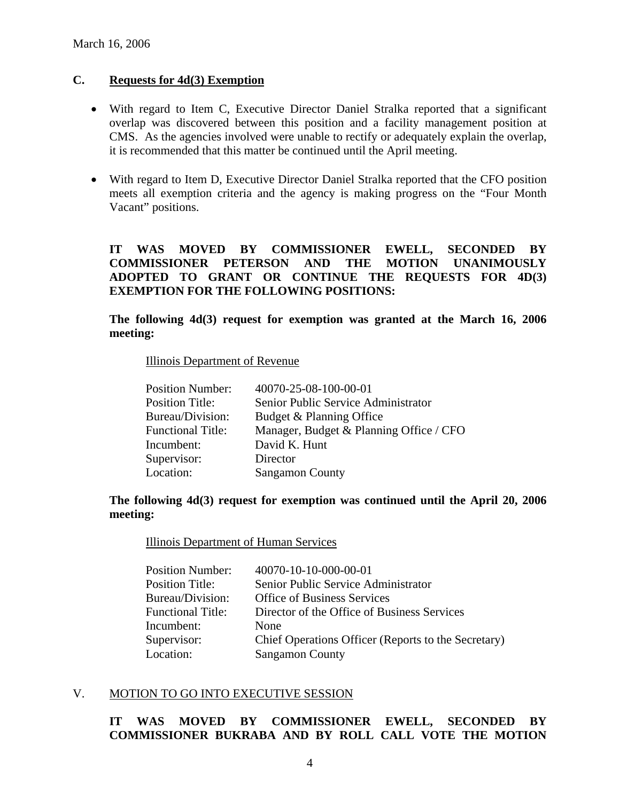## **C. Requests for 4d(3) Exemption**

- With regard to Item C, Executive Director Daniel Stralka reported that a significant overlap was discovered between this position and a facility management position at CMS. As the agencies involved were unable to rectify or adequately explain the overlap, it is recommended that this matter be continued until the April meeting.
- With regard to Item D, Executive Director Daniel Stralka reported that the CFO position meets all exemption criteria and the agency is making progress on the "Four Month Vacant" positions.

## **IT WAS MOVED BY COMMISSIONER EWELL, SECONDED BY COMMISSIONER PETERSON AND THE MOTION UNANIMOUSLY ADOPTED TO GRANT OR CONTINUE THE REQUESTS FOR 4D(3) EXEMPTION FOR THE FOLLOWING POSITIONS:**

**The following 4d(3) request for exemption was granted at the March 16, 2006 meeting:** 

Illinois Department of Revenue

| <b>Position Number:</b>  | 40070-25-08-100-00-01                   |
|--------------------------|-----------------------------------------|
| <b>Position Title:</b>   | Senior Public Service Administrator     |
| Bureau/Division:         | Budget & Planning Office                |
| <b>Functional Title:</b> | Manager, Budget & Planning Office / CFO |
| Incumbent:               | David K. Hunt                           |
| Supervisor:              | Director                                |
| Location:                | <b>Sangamon County</b>                  |
|                          |                                         |

## **The following 4d(3) request for exemption was continued until the April 20, 2006 meeting:**

Illinois Department of Human Services

| 40070-10-10-000-00-01                               |
|-----------------------------------------------------|
| Senior Public Service Administrator                 |
| <b>Office of Business Services</b>                  |
| Director of the Office of Business Services         |
| <b>None</b>                                         |
| Chief Operations Officer (Reports to the Secretary) |
| <b>Sangamon County</b>                              |
|                                                     |

### V. MOTION TO GO INTO EXECUTIVE SESSION

## **IT WAS MOVED BY COMMISSIONER EWELL, SECONDED BY COMMISSIONER BUKRABA AND BY ROLL CALL VOTE THE MOTION**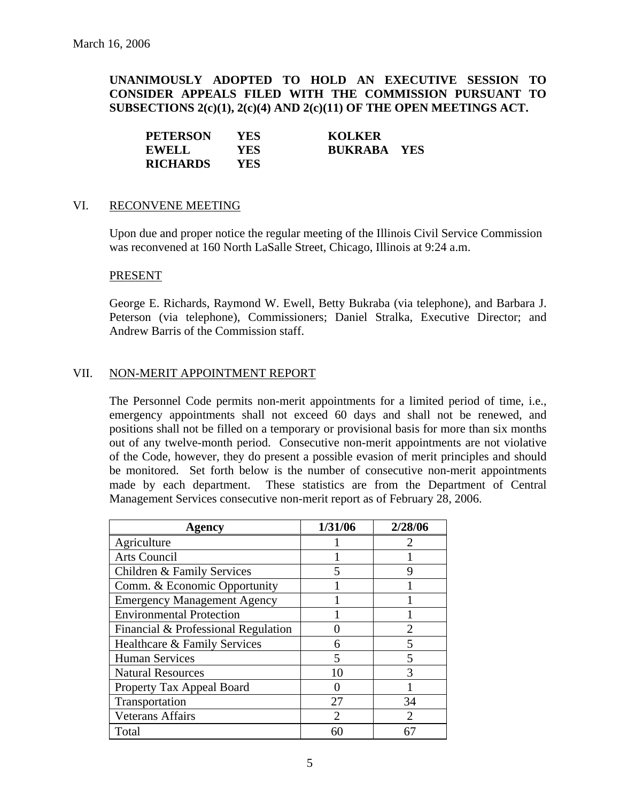**UNANIMOUSLY ADOPTED TO HOLD AN EXECUTIVE SESSION TO CONSIDER APPEALS FILED WITH THE COMMISSION PURSUANT TO SUBSECTIONS 2(c)(1), 2(c)(4) AND 2(c)(11) OF THE OPEN MEETINGS ACT.** 

| <b>PETERSON</b> | YES. | <b>KOLKER</b>      |  |
|-----------------|------|--------------------|--|
| <b>EWELL</b>    | YES. | <b>BUKRABA YES</b> |  |
| <b>RICHARDS</b> | YES. |                    |  |

#### VI. RECONVENE MEETING

Upon due and proper notice the regular meeting of the Illinois Civil Service Commission was reconvened at 160 North LaSalle Street, Chicago, Illinois at 9:24 a.m.

#### PRESENT

George E. Richards, Raymond W. Ewell, Betty Bukraba (via telephone), and Barbara J. Peterson (via telephone), Commissioners; Daniel Stralka, Executive Director; and Andrew Barris of the Commission staff.

### VII. NON-MERIT APPOINTMENT REPORT

The Personnel Code permits non-merit appointments for a limited period of time, i.e., emergency appointments shall not exceed 60 days and shall not be renewed, and positions shall not be filled on a temporary or provisional basis for more than six months out of any twelve-month period. Consecutive non-merit appointments are not violative of the Code, however, they do present a possible evasion of merit principles and should be monitored. Set forth below is the number of consecutive non-merit appointments made by each department. These statistics are from the Department of Central Management Services consecutive non-merit report as of February 28, 2006.

| Agency                              | 1/31/06        | 2/28/06                     |
|-------------------------------------|----------------|-----------------------------|
| Agriculture                         |                |                             |
| Arts Council                        |                |                             |
| Children & Family Services          |                |                             |
| Comm. & Economic Opportunity        |                |                             |
| <b>Emergency Management Agency</b>  |                |                             |
| <b>Environmental Protection</b>     |                |                             |
| Financial & Professional Regulation |                | $\mathfrak{D}$              |
| Healthcare & Family Services        | 6              | 5                           |
| <b>Human Services</b>               | 5              | $\overline{\mathbf{5}}$     |
| <b>Natural Resources</b>            | 10             | $\mathcal{R}$               |
| Property Tax Appeal Board           |                |                             |
| Transportation                      | 27             | 34                          |
| <b>Veterans Affairs</b>             | $\mathfrak{D}$ | $\mathcal{D}_{\mathcal{L}}$ |
| Total                               | 60             | 67                          |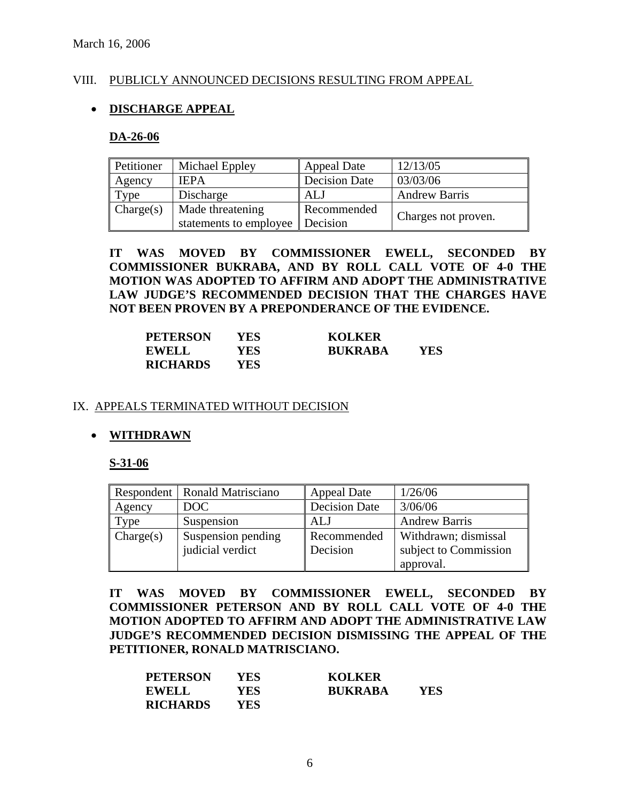### VIII. PUBLICLY ANNOUNCED DECISIONS RESULTING FROM APPEAL

## • **DISCHARGE APPEAL**

#### **DA-26-06**

| Petitioner | Michael Eppley         | Appeal Date          | 12/13/05             |
|------------|------------------------|----------------------|----------------------|
| Agency     | <b>IEPA</b>            | <b>Decision Date</b> | 03/03/06             |
| Type       | Discharge              | ALJ                  | <b>Andrew Barris</b> |
| Change(s)  | Made threatening       | Recommended          |                      |
|            | statements to employee | Decision             | Charges not proven.  |

**IT WAS MOVED BY COMMISSIONER EWELL, SECONDED BY COMMISSIONER BUKRABA, AND BY ROLL CALL VOTE OF 4-0 THE MOTION WAS ADOPTED TO AFFIRM AND ADOPT THE ADMINISTRATIVE LAW JUDGE'S RECOMMENDED DECISION THAT THE CHARGES HAVE NOT BEEN PROVEN BY A PREPONDERANCE OF THE EVIDENCE.** 

| <b>PETERSON</b> | YES | <b>KOLKER</b>  |     |
|-----------------|-----|----------------|-----|
| <b>EWELL</b>    | YES | <b>RUKRABA</b> | YES |
| <b>RICHARDS</b> | YES |                |     |

#### IX. APPEALS TERMINATED WITHOUT DECISION

### • **WITHDRAWN**

#### **S-31-06**

|           | Respondent   Ronald Matrisciano | <b>Appeal Date</b>   | 1/26/06               |
|-----------|---------------------------------|----------------------|-----------------------|
| Agency    | DOC                             | <b>Decision Date</b> | 3/06/06               |
| Type      | Suspension                      | ALJ                  | <b>Andrew Barris</b>  |
| Change(s) | Suspension pending              | Recommended          | Withdrawn; dismissal  |
|           | judicial verdict                | Decision             | subject to Commission |
|           |                                 |                      | approval.             |

**IT WAS MOVED BY COMMISSIONER EWELL, SECONDED BY COMMISSIONER PETERSON AND BY ROLL CALL VOTE OF 4-0 THE MOTION ADOPTED TO AFFIRM AND ADOPT THE ADMINISTRATIVE LAW JUDGE'S RECOMMENDED DECISION DISMISSING THE APPEAL OF THE PETITIONER, RONALD MATRISCIANO.** 

| <b>PETERSON</b> | YES. | <b>KOLKER</b>  |     |
|-----------------|------|----------------|-----|
| <b>EWELL</b>    | YES  | <b>BUKRABA</b> | YES |
| <b>RICHARDS</b> | YES. |                |     |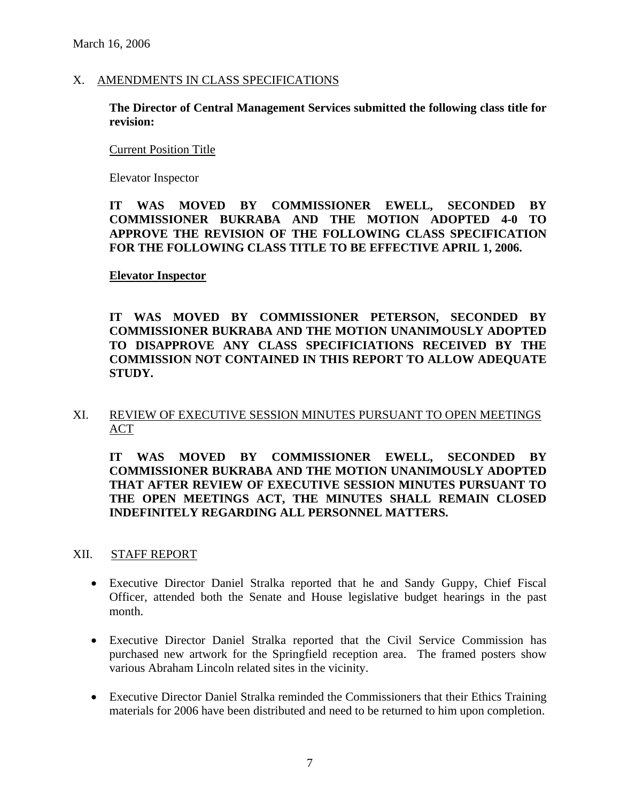#### X. AMENDMENTS IN CLASS SPECIFICATIONS

**The Director of Central Management Services submitted the following class title for revision:** 

#### Current Position Title

Elevator Inspector

## **IT WAS MOVED BY COMMISSIONER EWELL, SECONDED BY COMMISSIONER BUKRABA AND THE MOTION ADOPTED 4-0 TO APPROVE THE REVISION OF THE FOLLOWING CLASS SPECIFICATION FOR THE FOLLOWING CLASS TITLE TO BE EFFECTIVE APRIL 1, 2006.**

### **Elevator Inspector**

**IT WAS MOVED BY COMMISSIONER PETERSON, SECONDED BY COMMISSIONER BUKRABA AND THE MOTION UNANIMOUSLY ADOPTED TO DISAPPROVE ANY CLASS SPECIFICIATIONS RECEIVED BY THE COMMISSION NOT CONTAINED IN THIS REPORT TO ALLOW ADEQUATE STUDY.** 

## XI. REVIEW OF EXECUTIVE SESSION MINUTES PURSUANT TO OPEN MEETINGS ACT

**IT WAS MOVED BY COMMISSIONER EWELL, SECONDED BY COMMISSIONER BUKRABA AND THE MOTION UNANIMOUSLY ADOPTED THAT AFTER REVIEW OF EXECUTIVE SESSION MINUTES PURSUANT TO THE OPEN MEETINGS ACT, THE MINUTES SHALL REMAIN CLOSED INDEFINITELY REGARDING ALL PERSONNEL MATTERS.** 

XII. STAFF REPORT

- Executive Director Daniel Stralka reported that he and Sandy Guppy, Chief Fiscal Officer, attended both the Senate and House legislative budget hearings in the past month.
- Executive Director Daniel Stralka reported that the Civil Service Commission has purchased new artwork for the Springfield reception area. The framed posters show various Abraham Lincoln related sites in the vicinity.
- Executive Director Daniel Stralka reminded the Commissioners that their Ethics Training materials for 2006 have been distributed and need to be returned to him upon completion.